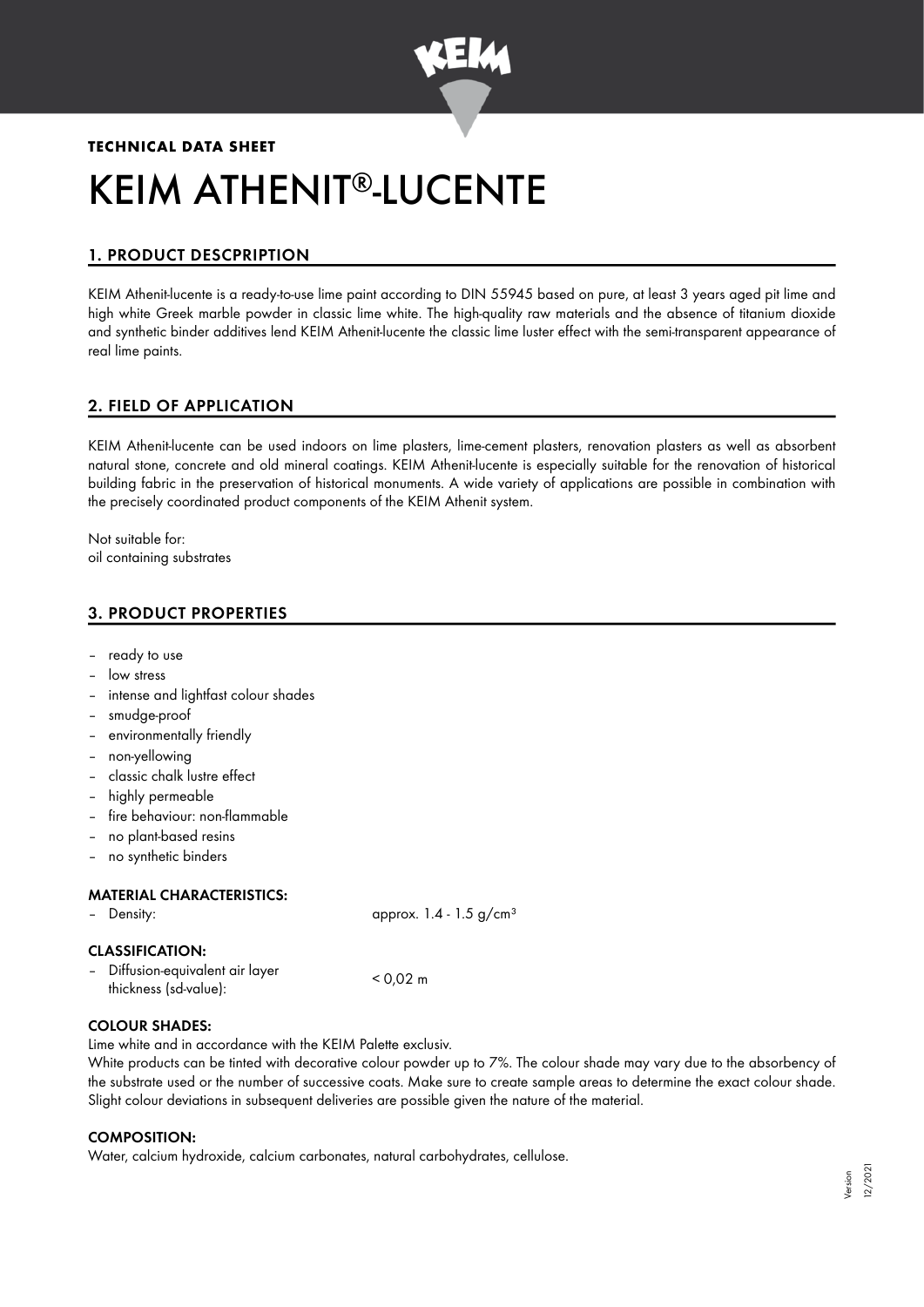

# **TECHNICAL DATA SHEET** KEIM ATHENIT®-LUCENTE

# 1. PRODUCT DESCPRIPTION

KEIM Athenit-lucente is a ready-to-use lime paint according to DIN 55945 based on pure, at least 3 years aged pit lime and high white Greek marble powder in classic lime white. The high-quality raw materials and the absence of titanium dioxide and synthetic binder additives lend KEIM Athenit-lucente the classic lime luster effect with the semi-transparent appearance of real lime paints.

# 2. FIELD OF APPLICATION

KEIM Athenit-lucente can be used indoors on lime plasters, lime-cement plasters, renovation plasters as well as absorbent natural stone, concrete and old mineral coatings. KEIM Athenit-lucente is especially suitable for the renovation of historical building fabric in the preservation of historical monuments. A wide variety of applications are possible in combination with the precisely coordinated product components of the KEIM Athenit system.

Not suitable for: oil containing substrates

# 3. PRODUCT PROPERTIES

- ready to use
- low stress
- intense and lightfast colour shades
- smudge-proof
- environmentally friendly
- non-yellowing
- classic chalk lustre effect
- highly permeable
- fire behaviour: non-flammable
- no plant-based resins
- no synthetic binders

#### MATERIAL CHARACTERISTICS:

– Density: approx. 1.4 - 1.5 g/cm<sup>3</sup>

#### CLASSIFICATION:

– Diffusion-equivalent air layer thickness (sd-value): < 0,02 m

# COLOUR SHADES:

Lime white and in accordance with the KEIM Palette exclusiv.

White products can be tinted with decorative colour powder up to 7%. The colour shade may vary due to the absorbency of the substrate used or the number of successive coats. Make sure to create sample areas to determine the exact colour shade. Slight colour deviations in subsequent deliveries are possible given the nature of the material.

# COMPOSITION:

Water, calcium hydroxide, calcium carbonates, natural carbohydrates, cellulose.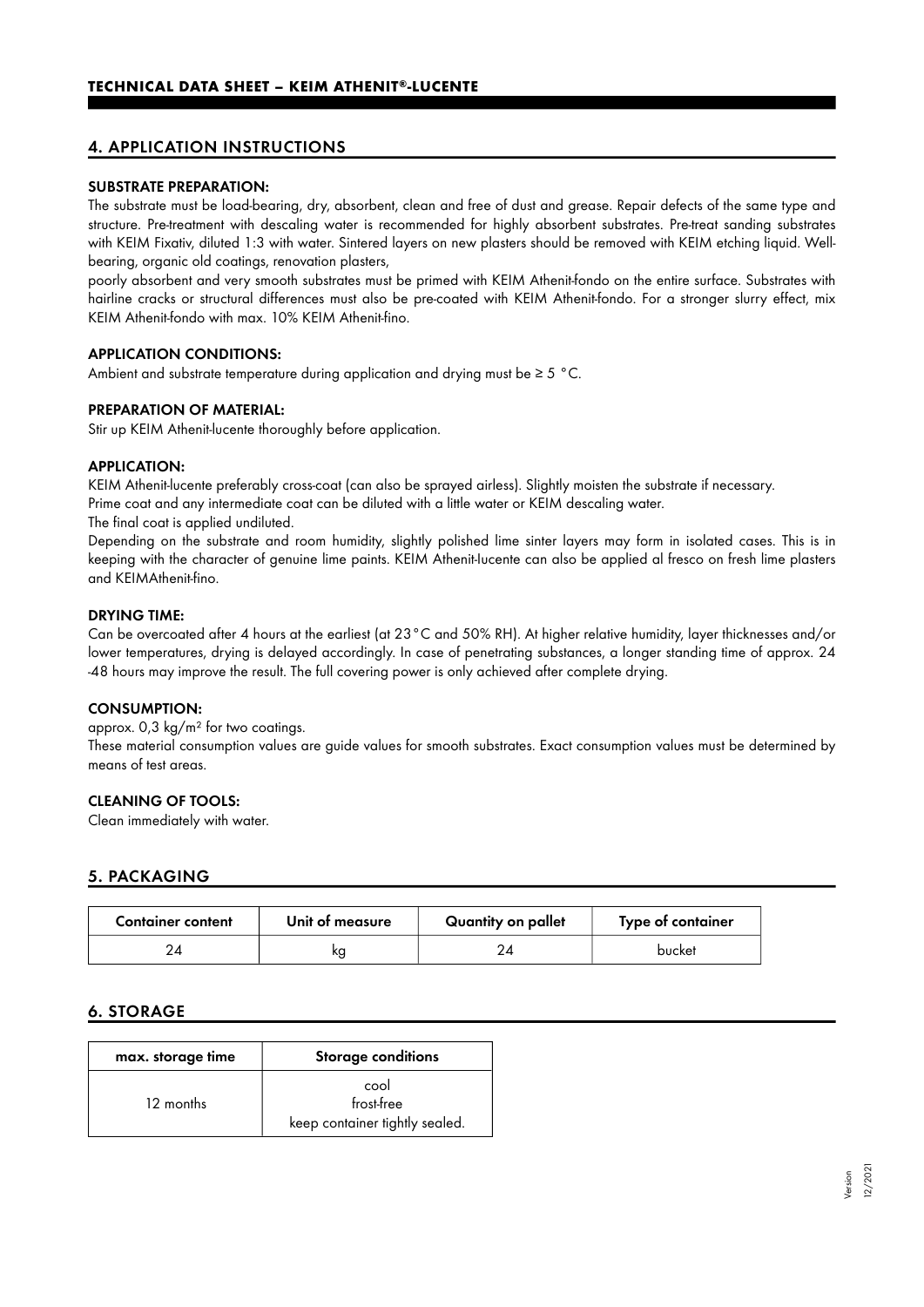# 4. APPLICATION INSTRUCTIONS

#### SUBSTRATE PREPARATION:

The substrate must be load-bearing, dry, absorbent, clean and free of dust and grease. Repair defects of the same type and structure. Pre-treatment with descaling water is recommended for highly absorbent substrates. Pre-treat sanding substrates with KEIM Fixativ, diluted 1:3 with water. Sintered layers on new plasters should be removed with KEIM etching liquid. Wellbearing, organic old coatings, renovation plasters,

poorly absorbent and very smooth substrates must be primed with KEIM Athenit-fondo on the entire surface. Substrates with hairline cracks or structural differences must also be pre-coated with KEIM Athenit-fondo. For a stronger slurry effect, mix KEIM Athenit-fondo with max. 10% KEIM Athenit-fino.

#### APPLICATION CONDITIONS:

Ambient and substrate temperature during application and drying must be  $\geq 5$  °C.

#### PREPARATION OF MATERIAL:

Stir up KEIM Athenit-lucente thoroughly before application.

#### APPLICATION:

KEIM Athenit-lucente preferably cross-coat (can also be sprayed airless). Slightly moisten the substrate if necessary.

Prime coat and any intermediate coat can be diluted with a little water or KEIM descaling water.

The final coat is applied undiluted.

Depending on the substrate and room humidity, slightly polished lime sinter layers may form in isolated cases. This is in keeping with the character of genuine lime paints. KEIM Athenit-Iucente can also be applied al fresco on fresh lime plasters and KEIMAthenit-fino.

#### DRYING TIME:

Can be overcoated after 4 hours at the earliest (at 23°C and 50% RH). At higher relative humidity, layer thicknesses and/or lower temperatures, drying is delayed accordingly. In case of penetrating substances, a longer standing time of approx. 24 -48 hours may improve the result. The full covering power is only achieved after complete drying.

#### CONSUMPTION:

approx.  $0.3 \text{ kg/m}^2$  for two coatings.

These material consumption values are guide values for smooth substrates. Exact consumption values must be determined by means of test areas.

#### CLEANING OF TOOLS:

Clean immediately with water.

# 5. PACKAGING

| <b>Container content</b> | Unit of measure | Quantity on pallet | Type of container |
|--------------------------|-----------------|--------------------|-------------------|
|                          | κg              |                    | bucket            |

# 6. STORAGE

| max. storage time | <b>Storage conditions</b>                            |  |
|-------------------|------------------------------------------------------|--|
| 12 months         | cool<br>frost-free<br>keep container tightly sealed. |  |